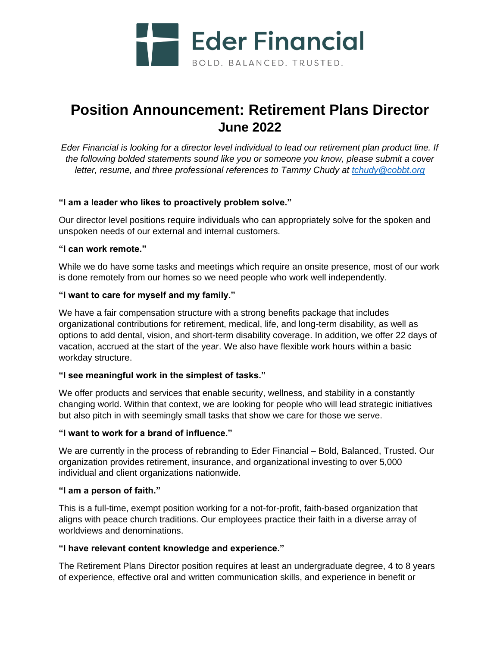

# **Position Announcement: Retirement Plans Director June 2022**

*Eder Financial is looking for a director level individual to lead our retirement plan product line. If the following bolded statements sound like you or someone you know, please submit a cover letter, resume, and three professional references to Tammy Chudy at [tchudy@cobbt.org](mailto:tchudy@cobbt.org)*

### **"I am a leader who likes to proactively problem solve."**

Our director level positions require individuals who can appropriately solve for the spoken and unspoken needs of our external and internal customers.

### **"I can work remote."**

While we do have some tasks and meetings which require an onsite presence, most of our work is done remotely from our homes so we need people who work well independently.

## **"I want to care for myself and my family."**

We have a fair compensation structure with a strong benefits package that includes organizational contributions for retirement, medical, life, and long-term disability, as well as options to add dental, vision, and short-term disability coverage. In addition, we offer 22 days of vacation, accrued at the start of the year. We also have flexible work hours within a basic workday structure.

### **"I see meaningful work in the simplest of tasks."**

We offer products and services that enable security, wellness, and stability in a constantly changing world. Within that context, we are looking for people who will lead strategic initiatives but also pitch in with seemingly small tasks that show we care for those we serve.

### **"I want to work for a brand of influence."**

We are currently in the process of rebranding to Eder Financial – Bold, Balanced, Trusted. Our organization provides retirement, insurance, and organizational investing to over 5,000 individual and client organizations nationwide.

### **"I am a person of faith."**

This is a full-time, exempt position working for a not-for-profit, faith-based organization that aligns with peace church traditions. Our employees practice their faith in a diverse array of worldviews and denominations.

# **"I have relevant content knowledge and experience."**

The Retirement Plans Director position requires at least an undergraduate degree, 4 to 8 years of experience, effective oral and written communication skills, and experience in benefit or